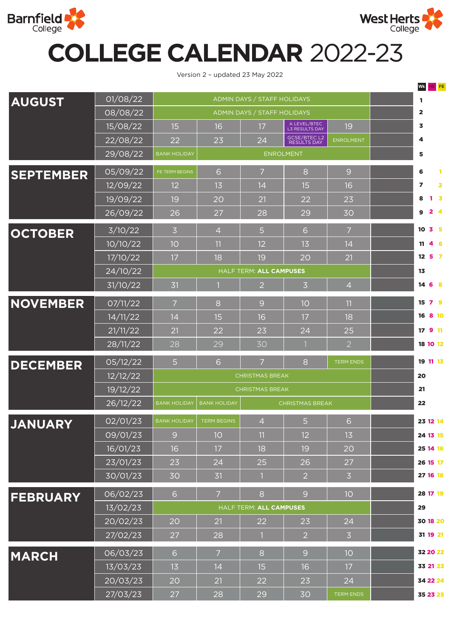



a ka

## **COLLEGE CALENDAR** 2022-23

Version 2 – updated 23 May 2022

|                  |                       |                                         |                                               |                |                                           |                  |   | WK HE FE                                           |
|------------------|-----------------------|-----------------------------------------|-----------------------------------------------|----------------|-------------------------------------------|------------------|---|----------------------------------------------------|
| <b>AUGUST</b>    | 01/08/22              | ADMIN DAYS / STAFF HOLIDAYS             |                                               |                |                                           |                  |   | -1                                                 |
|                  | 08/08/22              | ADMIN DAYS / STAFF HOLIDAYS             |                                               |                |                                           |                  |   | $\overline{\mathbf{2}}$                            |
|                  | 15/08/22              | 15                                      | 16                                            | 17             | A LEVEL/BTEC<br>L3 RESULTS DAY            | 19               |   | 3                                                  |
|                  | 22/08/22              | 22                                      | 23                                            | 24             | <b>GCSE/BTEC L2</b><br><b>RESULTS DAY</b> | <b>ENROLMENT</b> |   | 4                                                  |
|                  | 29/08/22              | <b>BANK HOLIDAY</b><br><b>ENROLMENT</b> |                                               |                |                                           |                  | 5 |                                                    |
| <b>SEPTEMBER</b> | 05/09/22              | FE TERM BEGINS                          | 6                                             | $\overline{7}$ | 8                                         | 9                |   | 6<br>$\mathbf{1}$                                  |
|                  | 12/09/22              | 12                                      | 13                                            | 14             | 15                                        | 16               |   | $\overline{\mathbf{z}}$<br>$\overline{\mathbf{2}}$ |
|                  | 19/09/22              | 19                                      | 20                                            | 21             | 22                                        | 23               |   | 8<br>$\overline{\mathbf{3}}$                       |
|                  | 26/09/22              | 26                                      | 27                                            | 28             | 29                                        | 30               |   | $2 \quad 4$<br>9                                   |
| <b>OCTOBER</b>   | 3/10/22               | $\overline{3}$                          | $\overline{4}$                                | 5              | 6                                         | $\overline{7}$   |   | 3 <sub>5</sub><br>10                               |
|                  | 10/10/22              | 10                                      | 11                                            | 12             | 13                                        | 14               |   | 4 6<br>11                                          |
|                  | 17/10/22              | 17                                      | 18                                            | 19             | 20                                        | 21               |   | $12 \quad 5 \quad 7$                               |
|                  | 24/10/22              | HALF TERM: ALL CAMPUSES                 |                                               |                |                                           |                  |   | 13                                                 |
|                  | $3\overline{1/10/22}$ | 31                                      |                                               | $\overline{2}$ | $\overline{3}$                            | $\overline{4}$   |   | 14 6 8                                             |
| <b>NOVEMBER</b>  | O7/11/22              | $\overline{7}$                          | 8                                             | 9              | 10                                        | 11               |   | 79<br>15                                           |
|                  | 14/11/22              | 14                                      | 15                                            | 16             | 17                                        | 18               |   | 8 10<br>16                                         |
|                  | 21/11/22              | 21                                      | 22                                            | 23             | 24                                        | 25               |   | 17 9 11                                            |
|                  | 28/11/22              | 28                                      | 29                                            | 30             |                                           | 2                |   | 18 10 12                                           |
| <b>DECEMBER</b>  | 05/12/22              | 5                                       | 6                                             | $\overline{7}$ | 8                                         | <b>TERM ENDS</b> |   | 19 11 13                                           |
|                  | 12/12/22              | <b>CHRISTMAS BREAK</b>                  |                                               |                |                                           |                  |   | 20                                                 |
|                  | 19/12/22              | <b>CHRISTMAS BREAK</b>                  |                                               |                |                                           |                  |   | 21                                                 |
|                  | 26/12/22              | <b>BANK HOLIDAY</b>                     | <b>BANK HOLIDAY</b><br><b>CHRISTMAS BREAK</b> |                |                                           |                  |   | 22                                                 |
| <b>JANUARY</b>   | 02/01/23              | <b>BANK HOLIDAY</b>                     | <b>TERM BEGINS</b>                            | $\overline{4}$ | $\overline{5}$                            | 6                |   | 23 12 14                                           |
|                  | 09/01/23              | 9                                       | 10                                            | 11             | 12                                        | 13               |   | 24 13 15                                           |
|                  | 16/01/23              | 16                                      | 17                                            | 18             | 19                                        | 20               |   | 25 14 16                                           |
|                  | 23/01/23              | 23                                      | 24                                            | 25             | 26                                        | 27               |   | 26 15 17                                           |
|                  | 30/01/23              | 30                                      | 31                                            |                | $\overline{2}$                            | $\overline{3}$   |   | 27 16 18                                           |
| <b>FEBRUARY</b>  | 06/02/23              | 6                                       | $\overline{7}$                                | 8              | 9                                         | 10               |   | 28 17 19                                           |
|                  | 13/02/23              | HALF TERM: ALL CAMPUSES                 |                                               |                |                                           |                  |   | 29                                                 |
|                  | 20/02/23              | 20                                      | 21                                            | 22             | 23                                        | 24               |   | 30 18 20                                           |
|                  | 27/02/23              | 27                                      | 28                                            |                | $\overline{2}$                            | $\overline{3}$   |   | 31 19 21                                           |
| <b>MARCH</b>     | 06/03/23              | 6                                       | $\overline{7}$                                | 8              | 9                                         | 10               |   | 32 20 22                                           |
|                  | 13/03/23              | 13                                      | 14                                            | 15             | 16                                        | 17               |   | 33 21 23                                           |
|                  | 20/03/23              | 20                                      | 21                                            | 22             | 23                                        | 24               |   | 34 22 24                                           |
|                  | 27/03/23              | 27                                      | 28                                            | 29             | 30                                        | <b>TERM ENDS</b> |   | 35 23 25                                           |